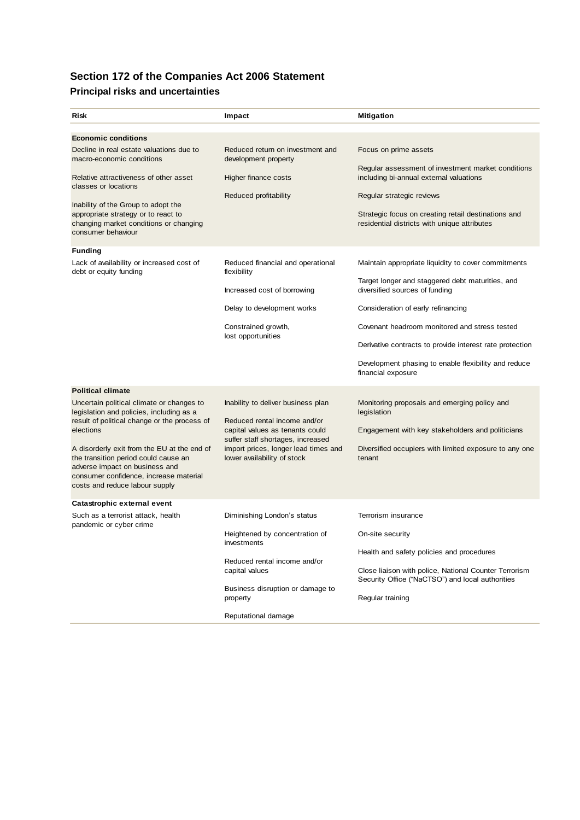## **Section 172 of the Companies Act 2006 Statement**

## **Principal risks and uncertainties**

| Risk                                                                                                                                                                                                                                                                                                                                                                                | Impact                                                                                                                                                                                                            | <b>Mitigation</b>                                                                                                                                                                                                                                                                                                                                                          |
|-------------------------------------------------------------------------------------------------------------------------------------------------------------------------------------------------------------------------------------------------------------------------------------------------------------------------------------------------------------------------------------|-------------------------------------------------------------------------------------------------------------------------------------------------------------------------------------------------------------------|----------------------------------------------------------------------------------------------------------------------------------------------------------------------------------------------------------------------------------------------------------------------------------------------------------------------------------------------------------------------------|
|                                                                                                                                                                                                                                                                                                                                                                                     |                                                                                                                                                                                                                   |                                                                                                                                                                                                                                                                                                                                                                            |
| <b>Economic conditions</b><br>Decline in real estate valuations due to<br>macro-economic conditions<br>Relative attractiveness of other asset<br>classes or locations<br>Inability of the Group to adopt the<br>appropriate strategy or to react to<br>changing market conditions or changing<br>consumer behaviour                                                                 | Reduced return on investment and<br>development property<br>Higher finance costs<br>Reduced profitability                                                                                                         | Focus on prime assets<br>Regular assessment of investment market conditions<br>including bi-annual external valuations<br>Regular strategic reviews<br>Strategic focus on creating retail destinations and<br>residential districts with unique attributes                                                                                                                 |
| <b>Funding</b><br>Lack of availability or increased cost of<br>debt or equity funding                                                                                                                                                                                                                                                                                               | Reduced financial and operational<br>flexibility<br>Increased cost of borrowing<br>Delay to development works<br>Constrained growth,<br>lost opportunities                                                        | Maintain appropriate liquidity to cover commitments<br>Target longer and staggered debt maturities, and<br>diversified sources of funding<br>Consideration of early refinancing<br>Covenant headroom monitored and stress tested<br>Derivative contracts to provide interest rate protection<br>Development phasing to enable flexibility and reduce<br>financial exposure |
| <b>Political climate</b><br>Uncertain political climate or changes to<br>legislation and policies, including as a<br>result of political change or the process of<br>elections<br>A disorderly exit from the EU at the end of<br>the transition period could cause an<br>adverse impact on business and<br>consumer confidence, increase material<br>costs and reduce labour supply | Inability to deliver business plan<br>Reduced rental income and/or<br>capital values as tenants could<br>suffer staff shortages, increased<br>import prices, longer lead times and<br>lower availability of stock | Monitoring proposals and emerging policy and<br>legislation<br>Engagement with key stakeholders and politicians<br>Diversified occupiers with limited exposure to any one<br>tenant                                                                                                                                                                                        |
| Catastrophic external event                                                                                                                                                                                                                                                                                                                                                         |                                                                                                                                                                                                                   |                                                                                                                                                                                                                                                                                                                                                                            |
| Such as a terrorist attack, health<br>pandemic or cyber crime                                                                                                                                                                                                                                                                                                                       | Diminishing London's status<br>Heightened by concentration of<br>investments<br>Reduced rental income and/or<br>capital values<br>Business disruption or damage to<br>property                                    | Terrorism insurance<br>On-site security<br>Health and safety policies and procedures<br>Close liaison with police, National Counter Terrorism<br>Security Office ("NaCTSO") and local authorities<br>Regular training                                                                                                                                                      |
|                                                                                                                                                                                                                                                                                                                                                                                     | Reputational damage                                                                                                                                                                                               |                                                                                                                                                                                                                                                                                                                                                                            |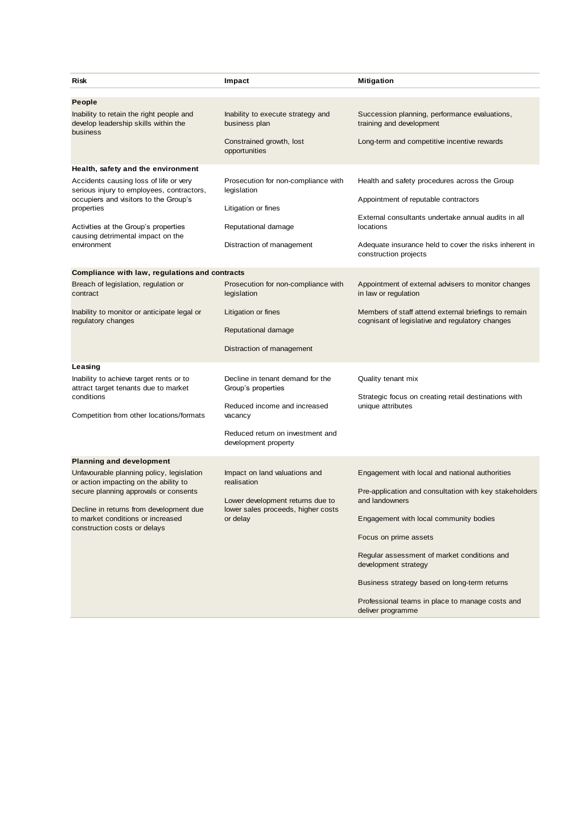| Risk                                                                                                                                                                                           | Impact                                                                                            | <b>Mitigation</b>                                                                                       |
|------------------------------------------------------------------------------------------------------------------------------------------------------------------------------------------------|---------------------------------------------------------------------------------------------------|---------------------------------------------------------------------------------------------------------|
| People<br>Inability to retain the right people and<br>develop leadership skills within the<br>business                                                                                         | Inability to execute strategy and                                                                 | Succession planning, performance evaluations,                                                           |
|                                                                                                                                                                                                | business plan<br>Constrained growth, lost<br>opportunities                                        | training and development<br>Long-term and competitive incentive rewards                                 |
| Health, safety and the environment<br>Accidents causing loss of life or very<br>serious injury to employees, contractors,<br>occupiers and visitors to the Group's<br>properties               | Prosecution for non-compliance with<br>legislation<br>Litigation or fines                         | Health and safety procedures across the Group                                                           |
|                                                                                                                                                                                                |                                                                                                   | Appointment of reputable contractors                                                                    |
| Activities at the Group's properties<br>causing detrimental impact on the<br>environment                                                                                                       | Reputational damage                                                                               | External consultants undertake annual audits in all<br>locations                                        |
|                                                                                                                                                                                                | Distraction of management                                                                         | Adequate insurance held to cover the risks inherent in<br>construction projects                         |
| Compliance with law, regulations and contracts                                                                                                                                                 |                                                                                                   |                                                                                                         |
| Breach of legislation, regulation or<br>contract                                                                                                                                               | Prosecution for non-compliance with<br>legislation                                                | Appointment of external advisers to monitor changes<br>in law or regulation                             |
| Inability to monitor or anticipate legal or<br>regulatory changes                                                                                                                              | Litigation or fines                                                                               | Members of staff attend external briefings to remain<br>cognisant of legislative and regulatory changes |
|                                                                                                                                                                                                | Reputational damage<br>Distraction of management                                                  |                                                                                                         |
|                                                                                                                                                                                                |                                                                                                   |                                                                                                         |
| Leasing<br>Inability to achieve target rents or to<br>attract target tenants due to market<br>conditions<br>Competition from other locations/formats                                           | Decline in tenant demand for the<br>Group's properties                                            | Quality tenant mix<br>Strategic focus on creating retail destinations with<br>unique attributes         |
|                                                                                                                                                                                                | Reduced income and increased<br>vacancy                                                           |                                                                                                         |
|                                                                                                                                                                                                | Reduced return on investment and<br>development property                                          |                                                                                                         |
| <b>Planning and development</b>                                                                                                                                                                |                                                                                                   |                                                                                                         |
| Unfavourable planning policy, legislation                                                                                                                                                      | Impact on land valuations and                                                                     | Engagement with local and national authorities                                                          |
| or action impacting on the ability to<br>secure planning approvals or consents<br>Decline in returns from development due<br>to market conditions or increased<br>construction costs or delays | realisation<br>Lower development returns due to<br>lower sales proceeds, higher costs<br>or delay | Pre-application and consultation with key stakeholders<br>and landowners                                |
|                                                                                                                                                                                                |                                                                                                   | Engagement with local community bodies                                                                  |
|                                                                                                                                                                                                |                                                                                                   | Focus on prime assets                                                                                   |
|                                                                                                                                                                                                |                                                                                                   | Regular assessment of market conditions and<br>development strategy                                     |
|                                                                                                                                                                                                |                                                                                                   | Business strategy based on long-term returns                                                            |
|                                                                                                                                                                                                |                                                                                                   | Professional teams in place to manage costs and<br>deliver programme                                    |